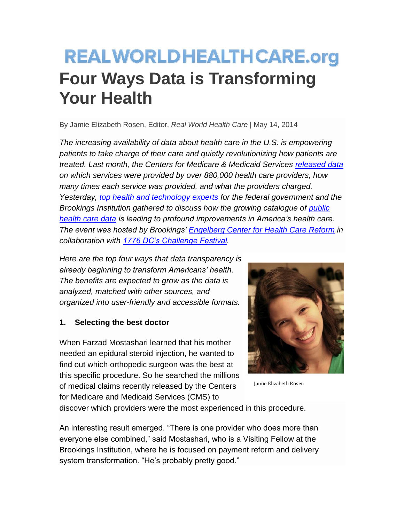# **REALWORLDHEALTHCARE.org Four Ways Data is Transforming Your Health**

By Jamie Elizabeth Rosen, Editor, *Real World Health Care* | May 14, 2014

*The increasing availability of data about health care in the U.S. is empowering patients to take charge of their care and quietly revolutionizing how patients are treated. Last month, the Centers for Medicare & Medicaid Services [released data](http://www.cms.gov/Newsroom/MediaReleaseDatabase/Press-releases/2014-Press-releases-items/2014-04-09.html) on which services were provided by over 880,000 health care providers, how many times each service was provided, and what the providers charged. Yesterday, [top health and technology experts](http://www.brookings.edu/events/2014/05/13-health-it-challenge-festival-startup-technology) for the federal government and the Brookings Institution gathered to discuss how the growing catalogue of [public](https://data.medicare.gov/)  [health care data](https://data.medicare.gov/) is leading to profound improvements in America's health care. The event was hosted by Brookings' [Engelberg Center for Health Care Reform](http://www.brookings.edu/about/centers/health) in collaboration with [1776 DC's Challenge Festival.](http://challengecup.1776dc.com/festival/)*

*Here are the top four ways that data transparency is already beginning to transform Americans' health. The benefits are expected to grow as the data is analyzed, matched with other sources, and organized into user-friendly and accessible formats.*

# **1. Selecting the best doctor**

When Farzad Mostashari learned that his mother needed an epidural steroid injection, he wanted to find out which orthopedic surgeon was the best at this specific procedure. So he searched the millions of medical claims recently released by the Centers for Medicare and Medicaid Services (CMS) to



Jamie Elizabeth Rosen

discover which providers were the most experienced in this procedure.

An interesting result emerged. "There is one provider who does more than everyone else combined," said Mostashari, who is a Visiting Fellow at the Brookings Institution, where he is focused on payment reform and delivery system transformation. "He's probably pretty good."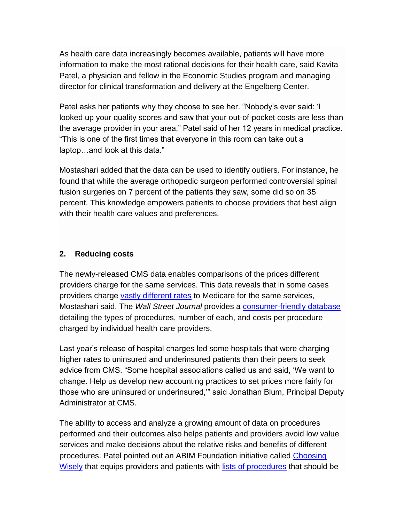As health care data increasingly becomes available, patients will have more information to make the most rational decisions for their health care, said Kavita Patel, a physician and fellow in the Economic Studies program and managing director for clinical transformation and delivery at the Engelberg Center.

Patel asks her patients why they choose to see her. "Nobody's ever said: 'I looked up your quality scores and saw that your out-of-pocket costs are less than the average provider in your area," Patel said of her 12 years in medical practice. "This is one of the first times that everyone in this room can take out a laptop…and look at this data."

Mostashari added that the data can be used to identify outliers. For instance, he found that while the average orthopedic surgeon performed controversial spinal fusion surgeries on 7 percent of the patients they saw, some did so on 35 percent. This knowledge empowers patients to choose providers that best align with their health care values and preferences.

### **2. Reducing costs**

The newly-released CMS data enables comparisons of the prices different providers charge for the same services. This data reveals that in some cases providers charge [vastly different rates](http://www.kaiserhealthnews.org/daily-reports/2014/april/09/medicare-billing-data.aspx) to Medicare for the same services, Mostashari said. The *Wall Street Journal* provides a [consumer-friendly database](http://projects.wsj.com/medicarebilling/) detailing the types of procedures, number of each, and costs per procedure charged by individual health care providers.

Last year's release of hospital charges led some hospitals that were charging higher rates to uninsured and underinsured patients than their peers to seek advice from CMS. "Some hospital associations called us and said, 'We want to change. Help us develop new accounting practices to set prices more fairly for those who are uninsured or underinsured,'" said Jonathan Blum, Principal Deputy Administrator at CMS.

The ability to access and analyze a growing amount of data on procedures performed and their outcomes also helps patients and providers avoid low value services and make decisions about the relative risks and benefits of different procedures. Patel pointed out an ABIM Foundation initiative called [Choosing](http://www.choosingwisely.org/)  [Wisely](http://www.choosingwisely.org/) that equips providers and patients with [lists of procedures](http://www.choosingwisely.org/doctor-patient-lists/) that should be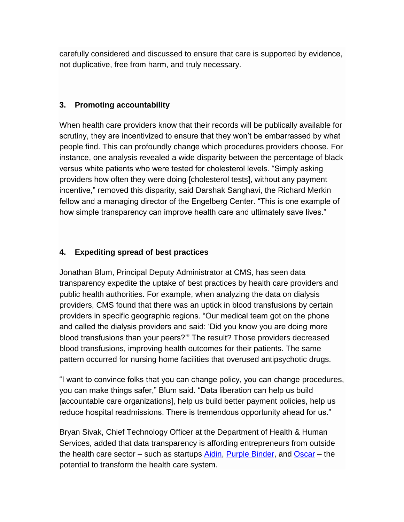carefully considered and discussed to ensure that care is supported by evidence, not duplicative, free from harm, and truly necessary.

### **3. Promoting accountability**

When health care providers know that their records will be publically available for scrutiny, they are incentivized to ensure that they won't be embarrassed by what people find. This can profoundly change which procedures providers choose. For instance, one analysis revealed a wide disparity between the percentage of black versus white patients who were tested for cholesterol levels. "Simply asking providers how often they were doing [cholesterol tests], without any payment incentive," removed this disparity, said Darshak Sanghavi, the Richard Merkin fellow and a managing director of the Engelberg Center. "This is one example of how simple transparency can improve health care and ultimately save lives."

# **4. Expediting spread of best practices**

Jonathan Blum, Principal Deputy Administrator at CMS, has seen data transparency expedite the uptake of best practices by health care providers and public health authorities. For example, when analyzing the data on dialysis providers, CMS found that there was an uptick in blood transfusions by certain providers in specific geographic regions. "Our medical team got on the phone and called the dialysis providers and said: 'Did you know you are doing more blood transfusions than your peers?'" The result? Those providers decreased blood transfusions, improving health outcomes for their patients. The same pattern occurred for nursing home facilities that overused antipsychotic drugs.

"I want to convince folks that you can change policy, you can change procedures, you can make things safer," Blum said. "Data liberation can help us build [accountable care organizations], help us build better payment policies, help us reduce hospital readmissions. There is tremendous opportunity ahead for us."

Bryan Sivak, Chief Technology Officer at the Department of Health & Human Services, added that data transparency is affording entrepreneurs from outside the health care sector – such as startups [Aidin,](http://www.myaidin.com/) [Purple Binder,](http://purplebinder.com/) and [Oscar](https://www.hioscar.com/) – the potential to transform the health care system.